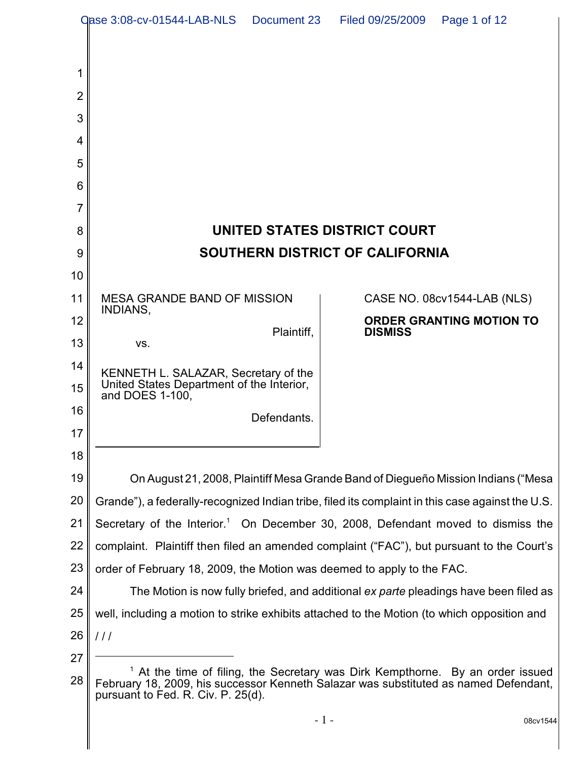| <b>Qase 3:08-cv-01544-LAB-NLS</b><br>Document 23<br>Page 1 of 12<br>Filed 09/25/2009 |                                                                                                                                                                                                            |                                                   |
|--------------------------------------------------------------------------------------|------------------------------------------------------------------------------------------------------------------------------------------------------------------------------------------------------------|---------------------------------------------------|
|                                                                                      |                                                                                                                                                                                                            |                                                   |
| 1                                                                                    |                                                                                                                                                                                                            |                                                   |
| $\overline{2}$                                                                       |                                                                                                                                                                                                            |                                                   |
| 3                                                                                    |                                                                                                                                                                                                            |                                                   |
| 4                                                                                    |                                                                                                                                                                                                            |                                                   |
| 5                                                                                    |                                                                                                                                                                                                            |                                                   |
| 6                                                                                    |                                                                                                                                                                                                            |                                                   |
| 7                                                                                    |                                                                                                                                                                                                            |                                                   |
| 8                                                                                    | UNITED STATES DISTRICT COURT                                                                                                                                                                               |                                                   |
| 9                                                                                    | <b>SOUTHERN DISTRICT OF CALIFORNIA</b>                                                                                                                                                                     |                                                   |
| 10                                                                                   |                                                                                                                                                                                                            |                                                   |
| 11                                                                                   | <b>MESA GRANDE BAND OF MISSION</b><br>INDIANS,                                                                                                                                                             | CASE NO. 08cv1544-LAB (NLS)                       |
| 12                                                                                   | Plaintiff,                                                                                                                                                                                                 | <b>ORDER GRANTING MOTION TO</b><br><b>DISMISS</b> |
| 13                                                                                   | VS.                                                                                                                                                                                                        |                                                   |
| 14                                                                                   | KENNETH L. SALAZAR, Secretary of the                                                                                                                                                                       |                                                   |
| 15                                                                                   | United States Department of the Interior,<br>and DOES 1-100,                                                                                                                                               |                                                   |
| 16                                                                                   | Defendants.                                                                                                                                                                                                |                                                   |
| 17                                                                                   |                                                                                                                                                                                                            |                                                   |
| 18                                                                                   |                                                                                                                                                                                                            |                                                   |
| 19                                                                                   | On August 21, 2008, Plaintiff Mesa Grande Band of Diegueño Mission Indians ("Mesa                                                                                                                          |                                                   |
| 20                                                                                   | Grande"), a federally-recognized Indian tribe, filed its complaint in this case against the U.S.                                                                                                           |                                                   |
| 21                                                                                   | Secretary of the Interior. <sup>1</sup> On December 30, 2008, Defendant moved to dismiss the                                                                                                               |                                                   |
| 22                                                                                   | complaint. Plaintiff then filed an amended complaint ("FAC"), but pursuant to the Court's                                                                                                                  |                                                   |
| 23<br>24                                                                             | order of February 18, 2009, the Motion was deemed to apply to the FAC.                                                                                                                                     |                                                   |
| 25                                                                                   | The Motion is now fully briefed, and additional ex parte pleadings have been filed as<br>well, including a motion to strike exhibits attached to the Motion (to which opposition and                       |                                                   |
| 26                                                                                   | 111                                                                                                                                                                                                        |                                                   |
| 27                                                                                   |                                                                                                                                                                                                            |                                                   |
| 28                                                                                   | At the time of filing, the Secretary was Dirk Kempthorne. By an order issued<br>February 18, 2009, his successor Kenneth Salazar was substituted as named Defendant,<br>pursuant to Fed. R. Civ. P. 25(d). |                                                   |
|                                                                                      |                                                                                                                                                                                                            | 08cv1544                                          |

- 1 - 08cv1544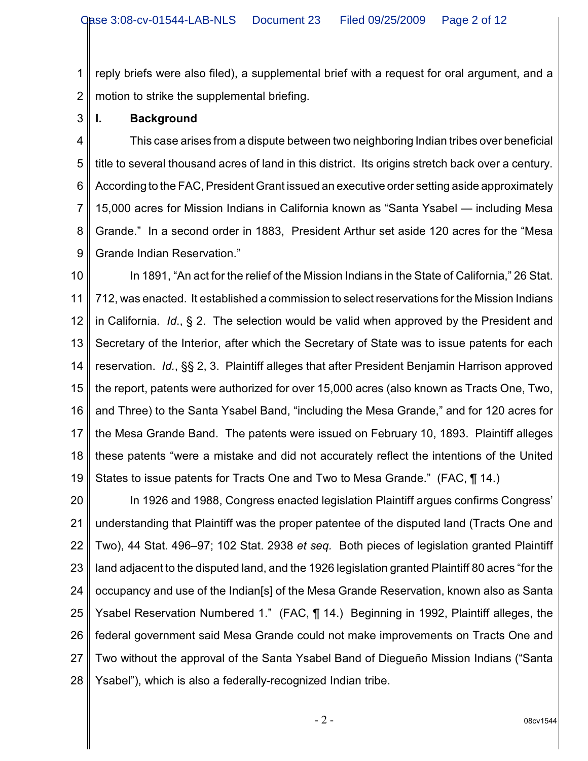1 2 reply briefs were also filed), a supplemental brief with a request for oral argument, and a motion to strike the supplemental briefing.

3 **I. Background**

4 5 6 7 8 9 This case arises from a dispute between two neighboring Indian tribes over beneficial title to several thousand acres of land in this district. Its origins stretch back over a century. According to the FAC, President Grant issued an executive order setting aside approximately 15,000 acres for Mission Indians in California known as "Santa Ysabel — including Mesa Grande." In a second order in 1883, President Arthur set aside 120 acres for the "Mesa Grande Indian Reservation."

10 11 12 13 14 15 16 17 18 19 In 1891, "An act for the relief of the Mission Indians in the State of California," 26 Stat. 712, was enacted. It established a commission to select reservations for the Mission Indians in California. *Id*., § 2. The selection would be valid when approved by the President and Secretary of the Interior, after which the Secretary of State was to issue patents for each reservation. *Id.*, §§ 2, 3. Plaintiff alleges that after President Benjamin Harrison approved the report, patents were authorized for over 15,000 acres (also known as Tracts One, Two, and Three) to the Santa Ysabel Band, "including the Mesa Grande," and for 120 acres for the Mesa Grande Band. The patents were issued on February 10, 1893. Plaintiff alleges these patents "were a mistake and did not accurately reflect the intentions of the United States to issue patents for Tracts One and Two to Mesa Grande." (FAC, ¶ 14.)

20 21 22 23 24 25 26 27 28 In 1926 and 1988, Congress enacted legislation Plaintiff argues confirms Congress' understanding that Plaintiff was the proper patentee of the disputed land (Tracts One and Two), 44 Stat. 496–97; 102 Stat. 2938 *et seq.* Both pieces of legislation granted Plaintiff land adjacent to the disputed land, and the 1926 legislation granted Plaintiff 80 acres "for the occupancy and use of the Indian[s] of the Mesa Grande Reservation, known also as Santa Ysabel Reservation Numbered 1." (FAC, ¶ 14.) Beginning in 1992, Plaintiff alleges, the federal government said Mesa Grande could not make improvements on Tracts One and Two without the approval of the Santa Ysabel Band of Diegueño Mission Indians ("Santa Ysabel"), which is also a federally-recognized Indian tribe.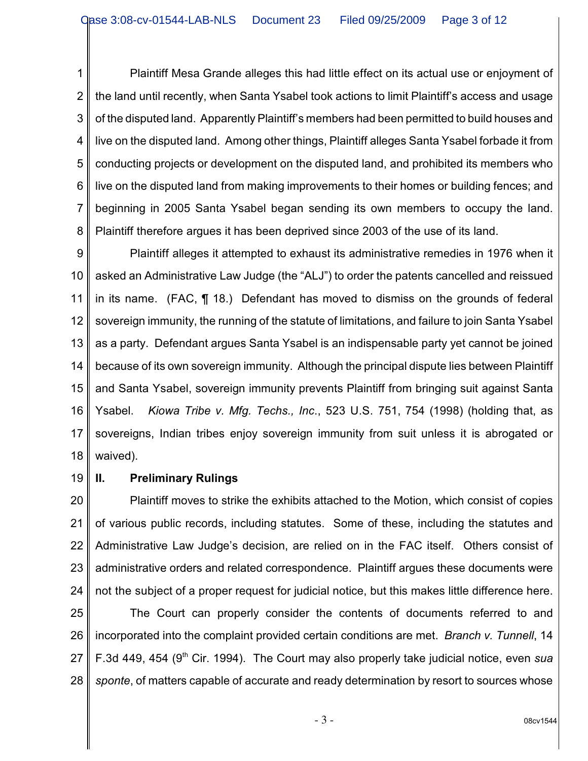1 2 3 4 5 6 7 8 Plaintiff Mesa Grande alleges this had little effect on its actual use or enjoyment of the land until recently, when Santa Ysabel took actions to limit Plaintiff's access and usage of the disputed land. Apparently Plaintiff's members had been permitted to build houses and live on the disputed land. Among other things, Plaintiff alleges Santa Ysabel forbade it from conducting projects or development on the disputed land, and prohibited its members who live on the disputed land from making improvements to their homes or building fences; and beginning in 2005 Santa Ysabel began sending its own members to occupy the land. Plaintiff therefore argues it has been deprived since 2003 of the use of its land.

9 10 11 12 13 14 15 16 17 18 Plaintiff alleges it attempted to exhaust its administrative remedies in 1976 when it asked an Administrative Law Judge (the "ALJ") to order the patents cancelled and reissued in its name. (FAC, ¶ 18.) Defendant has moved to dismiss on the grounds of federal sovereign immunity, the running of the statute of limitations, and failure to join Santa Ysabel as a party. Defendant argues Santa Ysabel is an indispensable party yet cannot be joined because of its own sovereign immunity. Although the principal dispute lies between Plaintiff and Santa Ysabel, sovereign immunity prevents Plaintiff from bringing suit against Santa Ysabel. *Kiowa Tribe v. Mfg. Techs., Inc*., 523 U.S. 751, 754 (1998) (holding that, as sovereigns, Indian tribes enjoy sovereign immunity from suit unless it is abrogated or waived).

19

## **II. Preliminary Rulings**

20 21 22 23 24 Plaintiff moves to strike the exhibits attached to the Motion, which consist of copies of various public records, including statutes. Some of these, including the statutes and Administrative Law Judge's decision, are relied on in the FAC itself. Others consist of administrative orders and related correspondence. Plaintiff argues these documents were not the subject of a proper request for judicial notice, but this makes little difference here.

25 26 27 28 The Court can properly consider the contents of documents referred to and incorporated into the complaint provided certain conditions are met. *Branch v. Tunnell*, 14 F.3d 449, 454 (9<sup>th</sup> Cir. 1994). The Court may also properly take judicial notice, even *sua sponte*, of matters capable of accurate and ready determination by resort to sources whose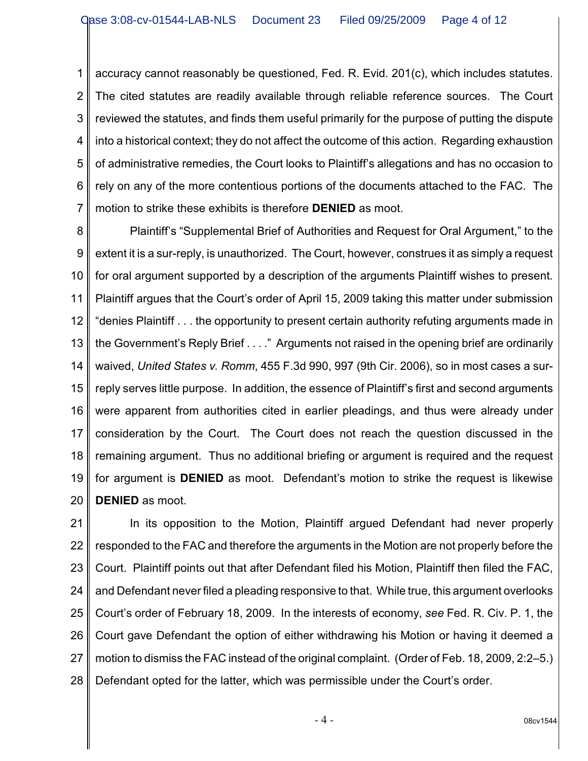1 2 3 4 5 6 7 accuracy cannot reasonably be questioned, Fed. R. Evid. 201(c), which includes statutes. The cited statutes are readily available through reliable reference sources. The Court reviewed the statutes, and finds them useful primarily for the purpose of putting the dispute into a historical context; they do not affect the outcome of this action. Regarding exhaustion of administrative remedies, the Court looks to Plaintiff's allegations and has no occasion to rely on any of the more contentious portions of the documents attached to the FAC. The motion to strike these exhibits is therefore **DENIED** as moot.

8 9 10 11 12 13 14 15 16 17 18 19 20 Plaintiff's "Supplemental Brief of Authorities and Request for Oral Argument," to the extent it is a sur-reply, is unauthorized. The Court, however, construes it as simply a request for oral argument supported by a description of the arguments Plaintiff wishes to present. Plaintiff argues that the Court's order of April 15, 2009 taking this matter under submission "denies Plaintiff . . . the opportunity to present certain authority refuting arguments made in the Government's Reply Brief . . . ." Arguments not raised in the opening brief are ordinarily waived, *United States v. Romm*, 455 F.3d 990, 997 (9th Cir. 2006), so in most cases a surreply serves little purpose. In addition, the essence of Plaintiff's first and second arguments were apparent from authorities cited in earlier pleadings, and thus were already under consideration by the Court. The Court does not reach the question discussed in the remaining argument. Thus no additional briefing or argument is required and the request for argument is **DENIED** as moot. Defendant's motion to strike the request is likewise **DENIED** as moot.

21 22 23 24 25 26 27 28 In its opposition to the Motion, Plaintiff argued Defendant had never properly responded to the FAC and therefore the arguments in the Motion are not properly before the Court. Plaintiff points out that after Defendant filed his Motion, Plaintiff then filed the FAC, and Defendant never filed a pleading responsive to that. While true, this argument overlooks Court's order of February 18, 2009. In the interests of economy, *see* Fed. R. Civ. P. 1, the Court gave Defendant the option of either withdrawing his Motion or having it deemed a motion to dismiss the FAC instead of the original complaint. (Order of Feb. 18, 2009, 2:2–5.) Defendant opted for the latter, which was permissible under the Court's order.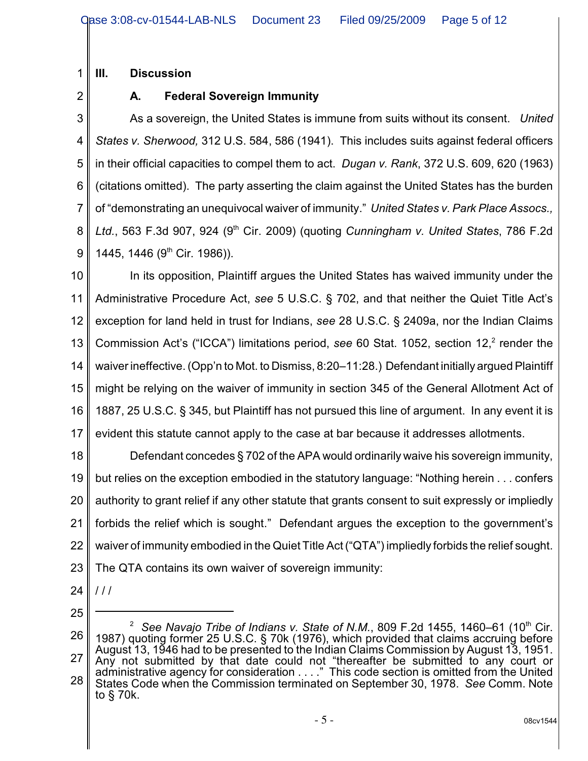**III. Discussion**

2

1

## **A. Federal Sovereign Immunity**

3 4 5 6 7 8 9 As a sovereign, the United States is immune from suits without its consent. *United States v. Sherwood,* 312 U.S. 584, 586 (1941). This includes suits against federal officers in their official capacities to compel them to act. *Dugan v. Rank*, 372 U.S. 609, 620 (1963) (citations omitted). The party asserting the claim against the United States has the burden of "demonstrating an unequivocal waiver of immunity." *United States v. Park Place Assocs., Ltd.*, 563 F.3d 907, 924 (9<sup>th</sup> Cir. 2009) (quoting *Cunningham v. United States*, 786 F.2d 1445, 1446 (9<sup>th</sup> Cir. 1986)).

10 11 12 13 14 15 16 17 In its opposition, Plaintiff argues the United States has waived immunity under the Administrative Procedure Act, *see* 5 U.S.C. § 702, and that neither the Quiet Title Act's exception for land held in trust for Indians, *see* 28 U.S.C. § 2409a, nor the Indian Claims Commission Act's ("ICCA") limitations period, see 60 Stat. 1052, section 12,<sup>2</sup> render the waiver ineffective. (Opp'n to Mot. to Dismiss, 8:20–11:28.) Defendant initially argued Plaintiff might be relying on the waiver of immunity in section 345 of the General Allotment Act of 1887, 25 U.S.C. § 345, but Plaintiff has not pursued this line of argument. In any event it is evident this statute cannot apply to the case at bar because it addresses allotments.

18 19 20 21 22 23 Defendant concedes § 702 of the APA would ordinarily waive his sovereign immunity, but relies on the exception embodied in the statutory language: "Nothing herein . . . confers authority to grant relief if any other statute that grants consent to suit expressly or impliedly forbids the relief which is sought." Defendant argues the exception to the government's waiver of immunity embodied in the Quiet Title Act ("QTA") impliedly forbids the relief sought. The QTA contains its own waiver of sovereign immunity:

- 24  $111$
- 25

<sup>26</sup> 27 28  $^2$  See Navajo Tribe of Indians v. State of N.M., 809 F.2d 1455, 1460–61 (10<sup>th</sup> Cir. 1987) quoting former 25 U.S.C. § 70k (1976), which provided that claims accruing before August 13, 1946 had to be presented to the Indian Claims Commission by August 13, 1951. Any not submitted by that date could not "thereafter be submitted to any court or administrative agency for consideration . . . ." This code section is omitted from the United States Code when the Commission terminated on September 30, 1978. *See* Comm. Note to § 70k.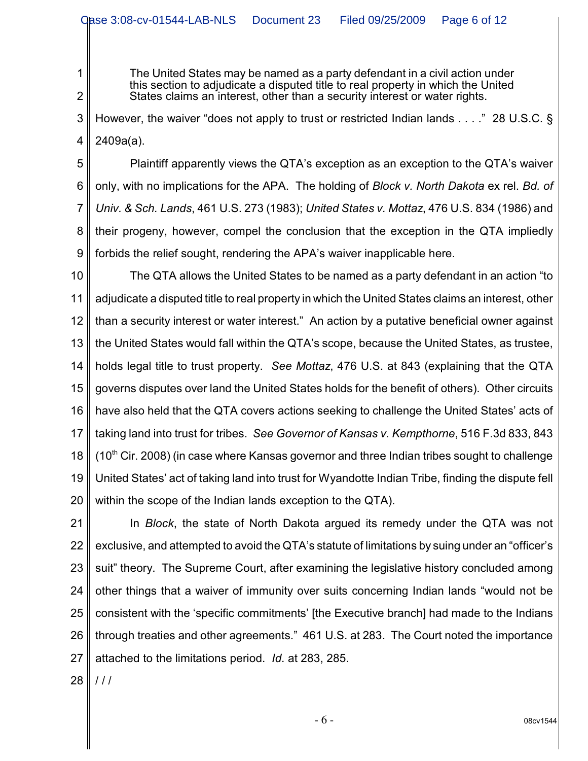The United States may be named as a party defendant in a civil action under this section to adjudicate a disputed title to real property in which the United States claims an interest, other than a security interest or water rights.

3 4 However, the waiver "does not apply to trust or restricted Indian lands . . . ." 28 U.S.C. § 2409a(a).

5 6 7 8 9 Plaintiff apparently views the QTA's exception as an exception to the QTA's waiver only, with no implications for the APA. The holding of *Block v. North Dakota* ex rel. *Bd. of Univ. & Sch. Lands*, 461 U.S. 273 (1983); *United States v. Mottaz*, 476 U.S. 834 (1986) and their progeny, however, compel the conclusion that the exception in the QTA impliedly forbids the relief sought, rendering the APA's waiver inapplicable here.

10 11 12 13 14 15 16 17 18 19 20 The QTA allows the United States to be named as a party defendant in an action "to adjudicate a disputed title to real property in which the United States claims an interest, other than a security interest or water interest." An action by a putative beneficial owner against the United States would fall within the QTA's scope, because the United States, as trustee, holds legal title to trust property. *See Mottaz*, 476 U.S. at 843 (explaining that the QTA governs disputes over land the United States holds for the benefit of others). Other circuits have also held that the QTA covers actions seeking to challenge the United States' acts of taking land into trust for tribes. *See Governor of Kansas v. Kempthorne*, 516 F.3d 833, 843  $(10<sup>th</sup>$  Cir. 2008) (in case where Kansas governor and three Indian tribes sought to challenge United States' act of taking land into trust for Wyandotte Indian Tribe, finding the dispute fell within the scope of the Indian lands exception to the QTA).

21 22 23 24 25 26 27 In *Block*, the state of North Dakota argued its remedy under the QTA was not exclusive, and attempted to avoid the QTA's statute of limitations by suing under an "officer's suit" theory. The Supreme Court, after examining the legislative history concluded among other things that a waiver of immunity over suits concerning Indian lands "would not be consistent with the 'specific commitments' [the Executive branch] had made to the Indians through treaties and other agreements." 461 U.S. at 283. The Court noted the importance attached to the limitations period. *Id*. at 283, 285.

28 / / /

1

2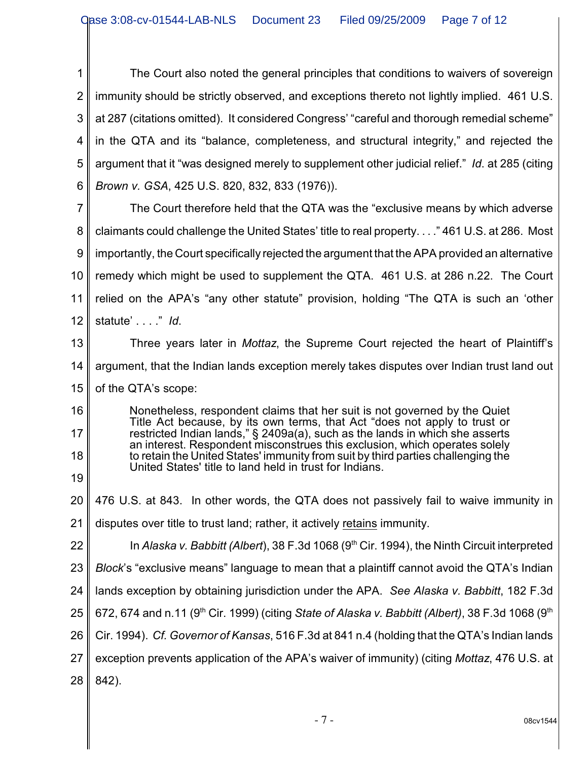1 2 3 4 5 6 The Court also noted the general principles that conditions to waivers of sovereign immunity should be strictly observed, and exceptions thereto not lightly implied. 461 U.S. at 287 (citations omitted). It considered Congress' "careful and thorough remedial scheme" in the QTA and its "balance, completeness, and structural integrity," and rejected the argument that it "was designed merely to supplement other judicial relief." *Id*. at 285 (citing *Brown v. GSA*, 425 U.S. 820, 832, 833 (1976)).

7 8 9 10 11 12 The Court therefore held that the QTA was the "exclusive means by which adverse claimants could challenge the United States' title to real property. . . ." 461 U.S. at 286. Most importantly, the Court specifically rejected the argument that the APA provided an alternative remedy which might be used to supplement the QTA. 461 U.S. at 286 n.22. The Court relied on the APA's "any other statute" provision, holding "The QTA is such an 'other statute' . . . ." *Id*.

13 14 15 Three years later in *Mottaz*, the Supreme Court rejected the heart of Plaintiff's argument, that the Indian lands exception merely takes disputes over Indian trust land out of the QTA's scope:

16 17 18 19 Nonetheless, respondent claims that her suit is not governed by the Quiet Title Act because, by its own terms, that Act "does not apply to trust or restricted Indian lands," § 2409a(a), such as the lands in which she asserts an interest. Respondent misconstrues this exclusion, which operates solely to retain the United States' immunity from suit by third parties challenging the United States' title to land held in trust for Indians.

- 20 476 U.S. at 843. In other words, the QTA does not passively fail to waive immunity in
- 21 disputes over title to trust land; rather, it actively retains immunity.

22 In Alaska v. Babbitt (Albert), 38 F.3d 1068 (9<sup>th</sup> Cir. 1994), the Ninth Circuit interpreted

23 *Block*'s "exclusive means" language to mean that a plaintiff cannot avoid the QTA's Indian

- 24 lands exception by obtaining jurisdiction under the APA. *See Alaska v. Babbitt*, 182 F.3d
- 25 672, 674 and n.11 (9<sup>th</sup> Cir. 1999) (citing *State of Alaska v. Babbitt (Albert)*, 38 F.3d 1068 (9<sup>th</sup>

26 Cir. 1994). *Cf. Governor of Kansas*, 516 F.3d at 841 n.4 (holding that the QTA's Indian lands

- 27 exception prevents application of the APA's waiver of immunity) (citing *Mottaz*, 476 U.S. at
- 28 842).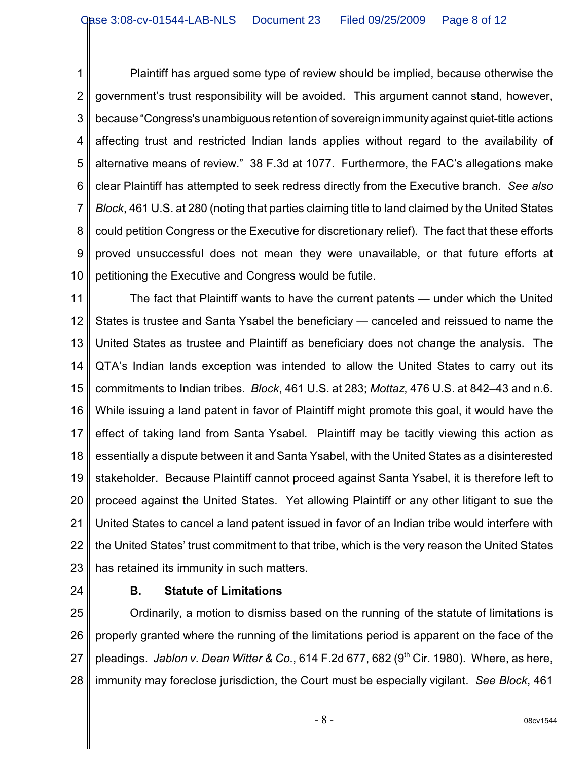1 2 3 4 5 6 7 8 9 10 Plaintiff has argued some type of review should be implied, because otherwise the government's trust responsibility will be avoided. This argument cannot stand, however, because "Congress's unambiguous retention of sovereign immunity against quiet-title actions affecting trust and restricted Indian lands applies without regard to the availability of alternative means of review." 38 F.3d at 1077. Furthermore, the FAC's allegations make clear Plaintiff has attempted to seek redress directly from the Executive branch. *See also Block*, 461 U.S. at 280 (noting that parties claiming title to land claimed by the United States could petition Congress or the Executive for discretionary relief). The fact that these efforts proved unsuccessful does not mean they were unavailable, or that future efforts at petitioning the Executive and Congress would be futile.

11 12 13 14 15 16 17 18 19 20 21 22 23 The fact that Plaintiff wants to have the current patents — under which the United States is trustee and Santa Ysabel the beneficiary — canceled and reissued to name the United States as trustee and Plaintiff as beneficiary does not change the analysis. The QTA's Indian lands exception was intended to allow the United States to carry out its commitments to Indian tribes. *Block*, 461 U.S. at 283; *Mottaz*, 476 U.S. at 842–43 and n.6. While issuing a land patent in favor of Plaintiff might promote this goal, it would have the effect of taking land from Santa Ysabel. Plaintiff may be tacitly viewing this action as essentially a dispute between it and Santa Ysabel, with the United States as a disinterested stakeholder. Because Plaintiff cannot proceed against Santa Ysabel, it is therefore left to proceed against the United States. Yet allowing Plaintiff or any other litigant to sue the United States to cancel a land patent issued in favor of an Indian tribe would interfere with the United States' trust commitment to that tribe, which is the very reason the United States has retained its immunity in such matters.

24

## **B. Statute of Limitations**

25 26 27 28 Ordinarily, a motion to dismiss based on the running of the statute of limitations is properly granted where the running of the limitations period is apparent on the face of the pleadings. *Jablon v. Dean Witter & Co.*, 614 F.2d 677, 682 (9<sup>th</sup> Cir. 1980). Where, as here, immunity may foreclose jurisdiction, the Court must be especially vigilant. *See Block*, 461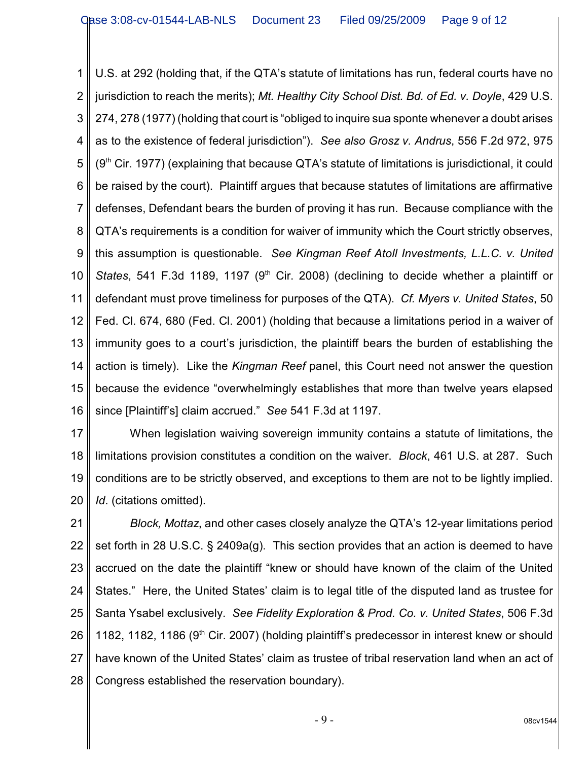1 2 3 4 5 6 7 8 9 10 11 12 13 14 15 16 U.S. at 292 (holding that, if the QTA's statute of limitations has run, federal courts have no jurisdiction to reach the merits); *Mt. Healthy City School Dist. Bd. of Ed. v. Doyle*, 429 U.S. 274, 278 (1977) (holding that court is "obliged to inquire sua sponte whenever a doubt arises as to the existence of federal jurisdiction"). *See also Grosz v. Andrus*, 556 F.2d 972, 975  $(9<sup>th</sup>$  Cir. 1977) (explaining that because QTA's statute of limitations is jurisdictional, it could be raised by the court). Plaintiff argues that because statutes of limitations are affirmative defenses, Defendant bears the burden of proving it has run. Because compliance with the QTA's requirements is a condition for waiver of immunity which the Court strictly observes, this assumption is questionable. *See Kingman Reef Atoll Investments, L.L.C. v. United States*, 541 F.3d 1189, 1197 (9<sup>th</sup> Cir. 2008) (declining to decide whether a plaintiff or defendant must prove timeliness for purposes of the QTA). *Cf. Myers v. United States*, 50 Fed. Cl. 674, 680 (Fed. Cl. 2001) (holding that because a limitations period in a waiver of immunity goes to a court's jurisdiction, the plaintiff bears the burden of establishing the action is timely). Like the *Kingman Reef* panel, this Court need not answer the question because the evidence "overwhelmingly establishes that more than twelve years elapsed since [Plaintiff's] claim accrued." *See* 541 F.3d at 1197.

17 18 19 20 When legislation waiving sovereign immunity contains a statute of limitations, the limitations provision constitutes a condition on the waiver. *Block*, 461 U.S. at 287. Such conditions are to be strictly observed, and exceptions to them are not to be lightly implied. *Id*. (citations omitted).

21 22 23 24 25 26 27 28 *Block, Mottaz*, and other cases closely analyze the QTA's 12-year limitations period set forth in 28 U.S.C. § 2409a(g). This section provides that an action is deemed to have accrued on the date the plaintiff "knew or should have known of the claim of the United States." Here, the United States' claim is to legal title of the disputed land as trustee for Santa Ysabel exclusively. *See Fidelity Exploration & Prod. Co. v. United States*, 506 F.3d 1182, 1182, 1186 ( $9<sup>th</sup>$  Cir. 2007) (holding plaintiff's predecessor in interest knew or should have known of the United States' claim as trustee of tribal reservation land when an act of Congress established the reservation boundary).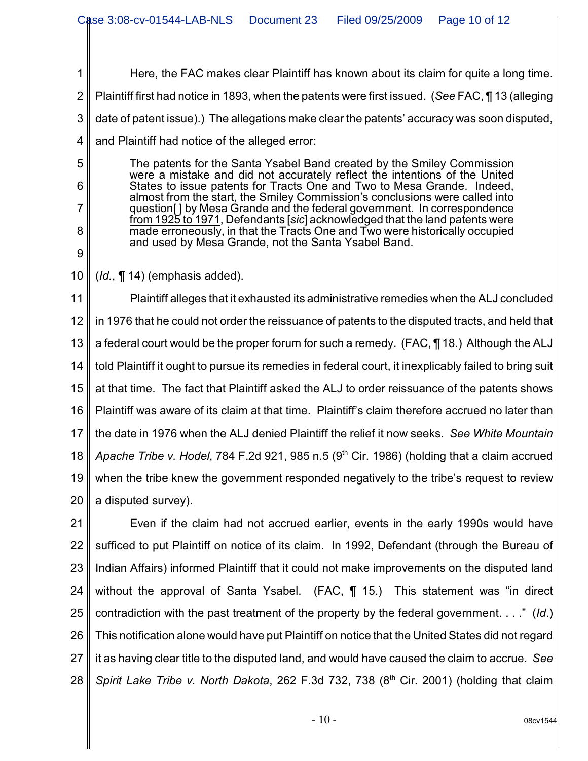1 2 3 4 5 6 Here, the FAC makes clear Plaintiff has known about its claim for quite a long time. Plaintiff first had notice in 1893, when the patents were first issued. (*See* FAC, ¶ 13 (alleging date of patent issue).) The allegations make clear the patents' accuracy was soon disputed, and Plaintiff had notice of the alleged error: The patents for the Santa Ysabel Band created by the Smiley Commission were a mistake and did not accurately reflect the intentions of the United

States to issue patents for Tracts One and Two to Mesa Grande. Indeed, almost from the start, the Smiley Commission's conclusions were called into question<sup>[]</sup> by Mesa Grande and the federal government. In correspondence from 1925 to 1971, Defendants [*sic*] acknowledged that the land patents were made erroneously, in that the Tracts One and Two were historically occupied and used by Mesa Grande, not the Santa Ysabel Band.

10 (*Id.*, ¶ 14) (emphasis added).

7

8

9

11 12 13 14 15 16 17 18 19 20 Plaintiff alleges that it exhausted its administrative remedies when the ALJ concluded in 1976 that he could not order the reissuance of patents to the disputed tracts, and held that a federal court would be the proper forum for such a remedy. (FAC, ¶ 18.) Although the ALJ told Plaintiff it ought to pursue its remedies in federal court, it inexplicably failed to bring suit at that time. The fact that Plaintiff asked the ALJ to order reissuance of the patents shows Plaintiff was aware of its claim at that time. Plaintiff's claim therefore accrued no later than the date in 1976 when the ALJ denied Plaintiff the relief it now seeks. *See White Mountain Apache Tribe v. Hodel, 784 F.2d 921, 985 n.5 (9<sup>th</sup> Cir. 1986) (holding that a claim accrued* when the tribe knew the government responded negatively to the tribe's request to review a disputed survey).

21 22 23 24 25 26 27 28 Even if the claim had not accrued earlier, events in the early 1990s would have sufficed to put Plaintiff on notice of its claim. In 1992, Defendant (through the Bureau of Indian Affairs) informed Plaintiff that it could not make improvements on the disputed land without the approval of Santa Ysabel. (FAC, ¶ 15.) This statement was "in direct contradiction with the past treatment of the property by the federal government. . . ." (*Id*.) This notification alone would have put Plaintiff on notice that the United States did not regard it as having clear title to the disputed land, and would have caused the claim to accrue. *See Spirit Lake Tribe v. North Dakota*, 262 F.3d 732, 738 (8<sup>th</sup> Cir. 2001) (holding that claim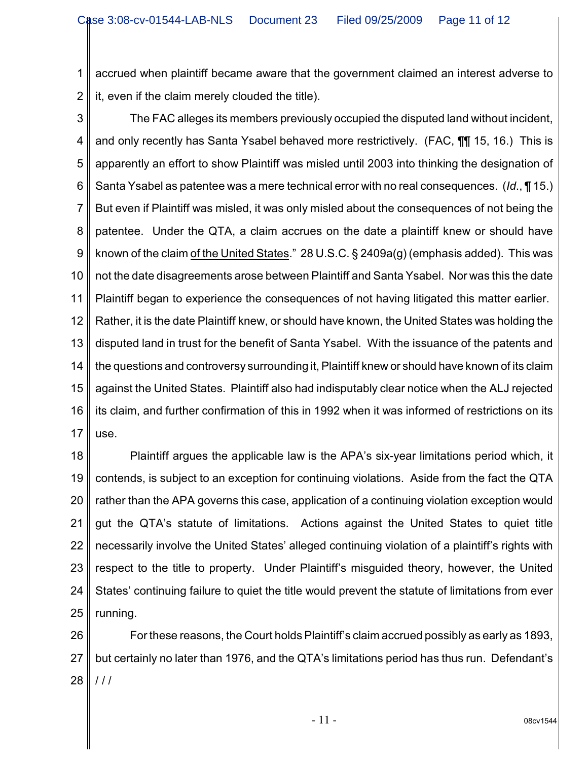1 2 accrued when plaintiff became aware that the government claimed an interest adverse to it, even if the claim merely clouded the title).

3 4 5 6 7 8 9 10 11 12 13 14 15 16 17 The FAC alleges its members previously occupied the disputed land without incident, and only recently has Santa Ysabel behaved more restrictively. (FAC, ¶¶ 15, 16.) This is apparently an effort to show Plaintiff was misled until 2003 into thinking the designation of Santa Ysabel as patentee was a mere technical error with no real consequences. (*Id*., ¶ 15.) But even if Plaintiff was misled, it was only misled about the consequences of not being the patentee. Under the QTA, a claim accrues on the date a plaintiff knew or should have known of the claim of the United States." 28 U.S.C. § 2409a(g) (emphasis added). This was not the date disagreements arose between Plaintiff and Santa Ysabel. Nor was this the date Plaintiff began to experience the consequences of not having litigated this matter earlier. Rather, it is the date Plaintiff knew, or should have known, the United States was holding the disputed land in trust for the benefit of Santa Ysabel. With the issuance of the patents and the questions and controversy surrounding it, Plaintiff knew or should have known of its claim against the United States. Plaintiff also had indisputably clear notice when the ALJ rejected its claim, and further confirmation of this in 1992 when it was informed of restrictions on its use.

18 19 20 21 22 23 24 25 Plaintiff argues the applicable law is the APA's six-year limitations period which, it contends, is subject to an exception for continuing violations. Aside from the fact the QTA rather than the APA governs this case, application of a continuing violation exception would gut the QTA's statute of limitations. Actions against the United States to quiet title necessarily involve the United States' alleged continuing violation of a plaintiff's rights with respect to the title to property. Under Plaintiff's misguided theory, however, the United States' continuing failure to quiet the title would prevent the statute of limitations from ever running.

26 27 28 For these reasons, the Court holds Plaintiff's claim accrued possibly as early as 1893, but certainly no later than 1976, and the QTA's limitations period has thus run. Defendant's / / /